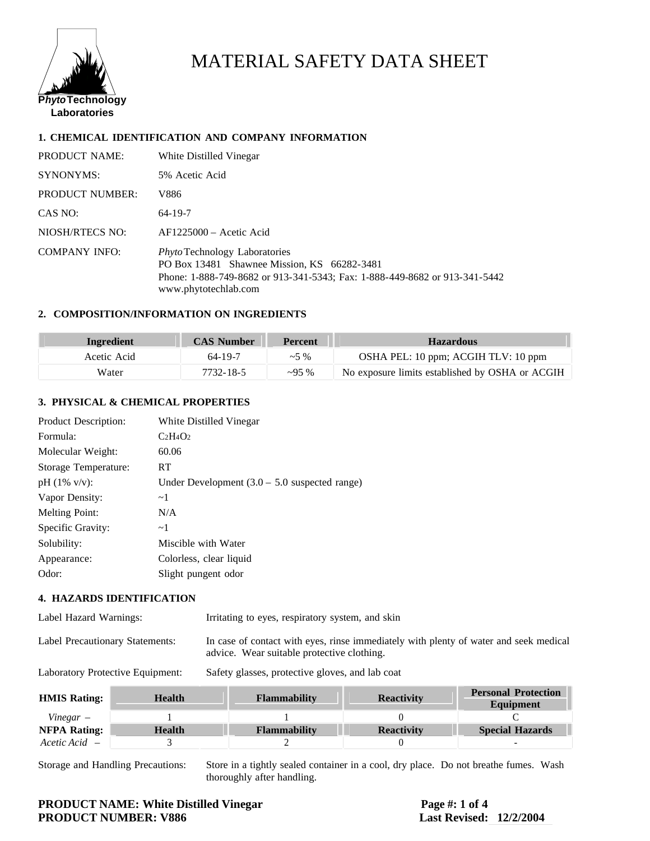

## MATERIAL SAFETY DATA SHEET

#### **1. CHEMICAL IDENTIFICATION AND COMPANY INFORMATION**

| PRODUCT NAME:          | White Distilled Vinegar                                                                                                                                                                   |
|------------------------|-------------------------------------------------------------------------------------------------------------------------------------------------------------------------------------------|
| <b>SYNONYMS:</b>       | 5% Acetic Acid                                                                                                                                                                            |
| <b>PRODUCT NUMBER:</b> | V886                                                                                                                                                                                      |
| CAS NO:                | $64 - 19 - 7$                                                                                                                                                                             |
| NIOSH/RTECS NO:        | $AF1225000 - Acetic Acid$                                                                                                                                                                 |
| <b>COMPANY INFO:</b>   | <i>Phyto</i> Technology Laboratories<br>PO Box 13481 Shawnee Mission, KS 66282-3481<br>Phone: 1-888-749-8682 or 913-341-5343; Fax: 1-888-449-8682 or 913-341-5442<br>www.phytotechlab.com |

#### **2. COMPOSITION/INFORMATION ON INGREDIENTS**

| Ingredient  | <b>CAS Number</b> | <b>Percent</b> | <b>Hazardous</b>                                |
|-------------|-------------------|----------------|-------------------------------------------------|
| Acetic Acid | 64-19-7           | $~1.5\%$       | OSHA PEL: 10 ppm; ACGIH TLV: 10 ppm             |
| Water       | 7732-18-5         | $\sim$ 95 %    | No exposure limits established by OSHA or ACGIH |

#### **3. PHYSICAL & CHEMICAL PROPERTIES**

| Under Development $(3.0 - 5.0$ suspected range) |
|-------------------------------------------------|
|                                                 |
|                                                 |
|                                                 |
|                                                 |
|                                                 |
|                                                 |
|                                                 |

#### **4. HAZARDS IDENTIFICATION**

| Label Hazard Warnings:          | Irritating to eyes, respiratory system, and skin                                                                                    |
|---------------------------------|-------------------------------------------------------------------------------------------------------------------------------------|
| Label Precautionary Statements: | In case of contact with eyes, rinse immediately with plenty of water and seek medical<br>advice. Wear suitable protective clothing. |

Laboratory Protective Equipment: Safety glasses, protective gloves, and lab coat

| <b>HMIS Rating:</b> | <b>Health</b> | <b>Flammability</b> | <b>Reactivity</b> | <b>Personal Protection</b><br>Equipment |
|---------------------|---------------|---------------------|-------------------|-----------------------------------------|
| $Vinegar -$         |               |                     |                   |                                         |
| <b>NFPA Rating:</b> | <b>Health</b> | <b>Flammability</b> | <b>Reactivity</b> | <b>Special Hazards</b>                  |
| $Accetic Acid$ –    |               |                     |                   |                                         |

Storage and Handling Precautions: Store in a tightly sealed container in a cool, dry place. Do not breathe fumes. Wash thoroughly after handling.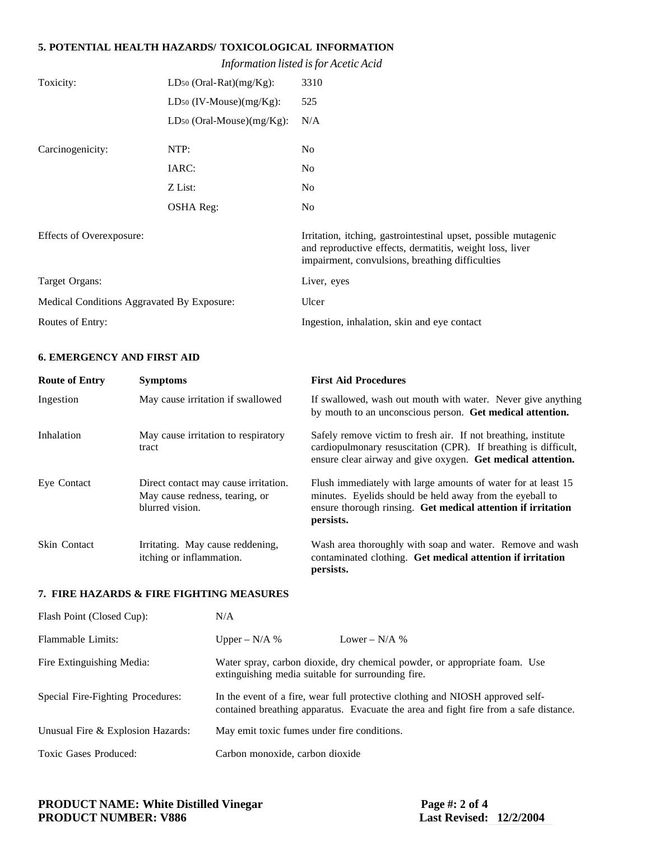#### **5. POTENTIAL HEALTH HAZARDS/ TOXICOLOGICAL INFORMATION**

*Information listed is for Acetic Acid*

| Toxicity:                                  | LD <sub>50</sub> (Oral-Rat) $(mg/Kg)$ : | 3310                                                                                                                                                                           |
|--------------------------------------------|-----------------------------------------|--------------------------------------------------------------------------------------------------------------------------------------------------------------------------------|
|                                            | $LD_{50}$ (IV-Mouse)(mg/Kg):            | 525                                                                                                                                                                            |
|                                            | LD <sub>50</sub> (Oral-Mouse)(mg/Kg):   | N/A                                                                                                                                                                            |
| Carcinogenicity:                           | NTP:                                    | No                                                                                                                                                                             |
|                                            | IARC:                                   | No                                                                                                                                                                             |
|                                            | Z List:                                 | No                                                                                                                                                                             |
|                                            | <b>OSHA</b> Reg:                        | No                                                                                                                                                                             |
| Effects of Overexposure:                   |                                         | Irritation, itching, gastrointestinal upset, possible mutagenic<br>and reproductive effects, dermatitis, weight loss, liver<br>impairment, convulsions, breathing difficulties |
| Target Organs:                             |                                         | Liver, eyes                                                                                                                                                                    |
| Medical Conditions Aggravated By Exposure: |                                         | Ulcer                                                                                                                                                                          |
| Routes of Entry:                           |                                         | Ingestion, inhalation, skin and eye contact                                                                                                                                    |
|                                            |                                         |                                                                                                                                                                                |

#### **6. EMERGENCY AND FIRST AID**

| <b>Route of Entry</b> | <b>Symptoms</b>                                                                           | <b>First Aid Procedures</b>                                                                                                                                                                            |
|-----------------------|-------------------------------------------------------------------------------------------|--------------------------------------------------------------------------------------------------------------------------------------------------------------------------------------------------------|
| Ingestion             | May cause irritation if swallowed                                                         | If swallowed, wash out mouth with water. Never give anything<br>by mouth to an unconscious person. Get medical attention.                                                                              |
| Inhalation            | May cause irritation to respiratory<br>tract                                              | Safely remove victim to fresh air. If not breathing, institute<br>cardiopulmonary resuscitation (CPR). If breathing is difficult,<br>ensure clear airway and give oxygen. Get medical attention.       |
| Eye Contact           | Direct contact may cause irritation.<br>May cause redness, tearing, or<br>blurred vision. | Flush immediately with large amounts of water for at least 15<br>minutes. Evelids should be held away from the eveball to<br>ensure thorough rinsing. Get medical attention if irritation<br>persists. |
| <b>Skin Contact</b>   | Irritating. May cause reddening,<br>itching or inflammation.                              | Wash area thoroughly with soap and water. Remove and wash<br>contaminated clothing. Get medical attention if irritation<br>persists.                                                                   |

#### **7. FIRE HAZARDS & FIRE FIGHTING MEASURES**

| Flash Point (Closed Cup):         | N/A                                                |                                                                                                                                                                         |
|-----------------------------------|----------------------------------------------------|-------------------------------------------------------------------------------------------------------------------------------------------------------------------------|
| Flammable Limits:                 | Upper – $N/A$ %                                    | Lower – $N/A$ %                                                                                                                                                         |
| Fire Extinguishing Media:         | extinguishing media suitable for surrounding fire. | Water spray, carbon dioxide, dry chemical powder, or appropriate foam. Use                                                                                              |
| Special Fire-Fighting Procedures: |                                                    | In the event of a fire, wear full protective clothing and NIOSH approved self-<br>contained breathing apparatus. Evacuate the area and fight fire from a safe distance. |
| Unusual Fire & Explosion Hazards: | May emit toxic fumes under fire conditions.        |                                                                                                                                                                         |
| Toxic Gases Produced:             | Carbon monoxide, carbon dioxide                    |                                                                                                                                                                         |

# **PRODUCT NAME: White Distilled Vinegar Page #: 2 of 4**<br>PRODUCT NUMBER: V886 Last Revised: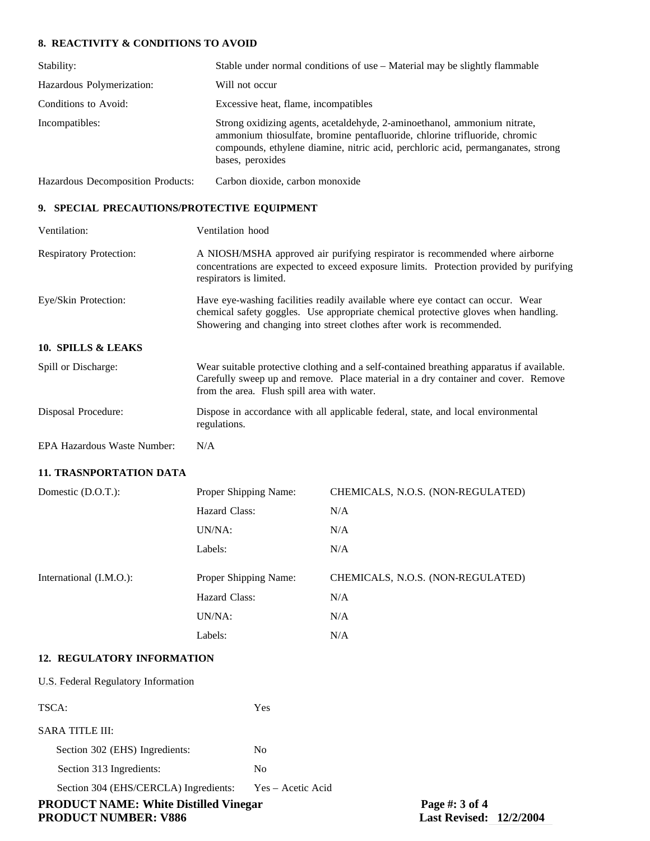### **8. REACTIVITY & CONDITIONS TO AVOID**

| Stability:                        | Stable under normal conditions of use – Material may be slightly flammable                                                                                                                                                                                     |
|-----------------------------------|----------------------------------------------------------------------------------------------------------------------------------------------------------------------------------------------------------------------------------------------------------------|
| Hazardous Polymerization:         | Will not occur                                                                                                                                                                                                                                                 |
| Conditions to Avoid:              | Excessive heat, flame, incompatibles                                                                                                                                                                                                                           |
| Incompatibles:                    | Strong oxidizing agents, acetaldehyde, 2-aminoethanol, ammonium nitrate,<br>ammonium thiosulfate, bromine pentafluoride, chlorine trifluoride, chromic<br>compounds, ethylene diamine, nitric acid, perchloric acid, permanganates, strong<br>bases, peroxides |
| Hazardous Decomposition Products: | Carbon dioxide, carbon monoxide                                                                                                                                                                                                                                |

#### **9. SPECIAL PRECAUTIONS/PROTECTIVE EQUIPMENT**

| Ventilation:                   | Ventilation hood                                                                                                                                                                                                                               |                                   |  |
|--------------------------------|------------------------------------------------------------------------------------------------------------------------------------------------------------------------------------------------------------------------------------------------|-----------------------------------|--|
| <b>Respiratory Protection:</b> | A NIOSH/MSHA approved air purifying respirator is recommended where airborne<br>concentrations are expected to exceed exposure limits. Protection provided by purifying<br>respirators is limited.                                             |                                   |  |
| Eye/Skin Protection:           | Have eye-washing facilities readily available where eye contact can occur. Wear<br>chemical safety goggles. Use appropriate chemical protective gloves when handling.<br>Showering and changing into street clothes after work is recommended. |                                   |  |
| 10. SPILLS & LEAKS             |                                                                                                                                                                                                                                                |                                   |  |
| Spill or Discharge:            | Wear suitable protective clothing and a self-contained breathing apparatus if available.<br>Carefully sweep up and remove. Place material in a dry container and cover. Remove<br>from the area. Flush spill area with water.                  |                                   |  |
| Disposal Procedure:            | Dispose in accordance with all applicable federal, state, and local environmental<br>regulations.                                                                                                                                              |                                   |  |
| EPA Hazardous Waste Number:    | N/A                                                                                                                                                                                                                                            |                                   |  |
| <b>11. TRASNPORTATION DATA</b> |                                                                                                                                                                                                                                                |                                   |  |
| Domestic (D.O.T.):             | Proper Shipping Name:                                                                                                                                                                                                                          | CHEMICALS, N.O.S. (NON-REGULATED) |  |
|                                | Hazard Class:                                                                                                                                                                                                                                  | N/A                               |  |
|                                | UN/NA:                                                                                                                                                                                                                                         | N/A                               |  |
|                                | Labels:                                                                                                                                                                                                                                        | N/A                               |  |
| International (I.M.O.):        | Proper Shipping Name:                                                                                                                                                                                                                          | CHEMICALS, N.O.S. (NON-REGULATED) |  |
|                                | Hazard Class:                                                                                                                                                                                                                                  | N/A                               |  |
|                                | UN/NA:                                                                                                                                                                                                                                         | N/A                               |  |
|                                | Labels:                                                                                                                                                                                                                                        | N/A                               |  |
| 12. REGULATORY INFORMATION     |                                                                                                                                                                                                                                                |                                   |  |

| <b>PRODUCT NUMBER: V886</b>                  |                   | <b>Last Revised: 12/2/2004</b> |  |
|----------------------------------------------|-------------------|--------------------------------|--|
| <b>PRODUCT NAME: White Distilled Vinegar</b> |                   | Page #: 3 of 4                 |  |
| Section 304 (EHS/CERCLA) Ingredients:        | Yes – Acetic Acid |                                |  |
| Section 313 Ingredients:                     | No                |                                |  |
| Section 302 (EHS) Ingredients:               | N <sub>0</sub>    |                                |  |
| SARA TITLE III:                              |                   |                                |  |
| TSCA:                                        | Yes               |                                |  |
| U.S. Federal Regulatory Information          |                   |                                |  |